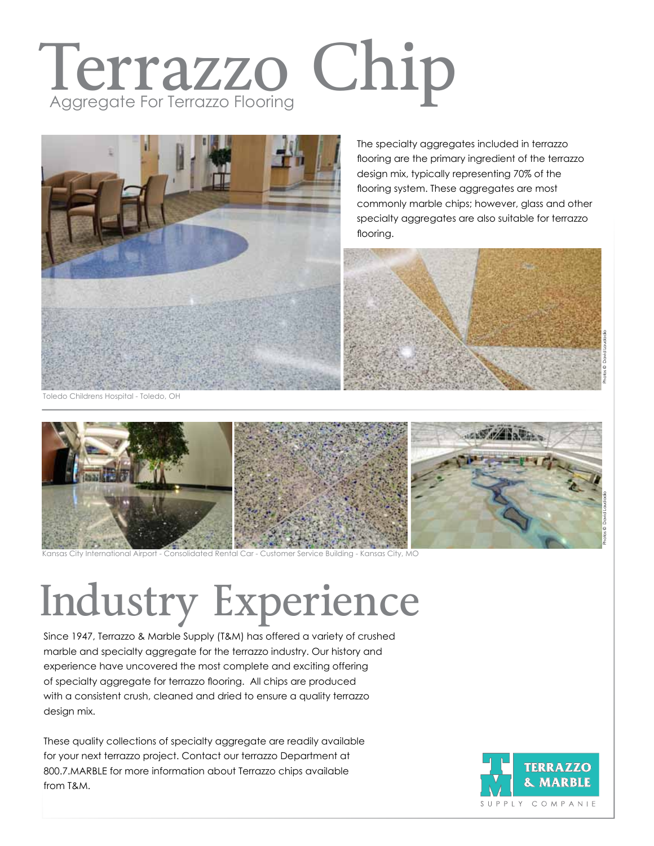### Terrazzo Chip Aggregate For Terrazzo Flooring



The specialty aggregates included in terrazzo flooring are the primary ingredient of the terrazzo design mix, typically representing 70% of the flooring system. These aggregates are most commonly marble chips; however, glass and other specialty aggregates are also suitable for terrazzo flooring.



Toledo Childrens Hospital - Toledo, OH



Ansas City International Airport - Consolidated Rental Car - Customer Service Building - Kansas City, MO:

## Industry Experience

Since 1947, Terrazzo & Marble Supply (T&M) has offered a variety of crushed marble and specialty aggregate for the terrazzo industry. Our history and experience have uncovered the most complete and exciting offering of specialty aggregate for terrazzo flooring. All chips are produced with a consistent crush, cleaned and dried to ensure a quality terrazzo design mix.

These quality collections of specialty aggregate are readily available for your next terrazzo project. Contact our terrazzo Department at 800.7.MARBLE for more information about Terrazzo chips available from T&M.

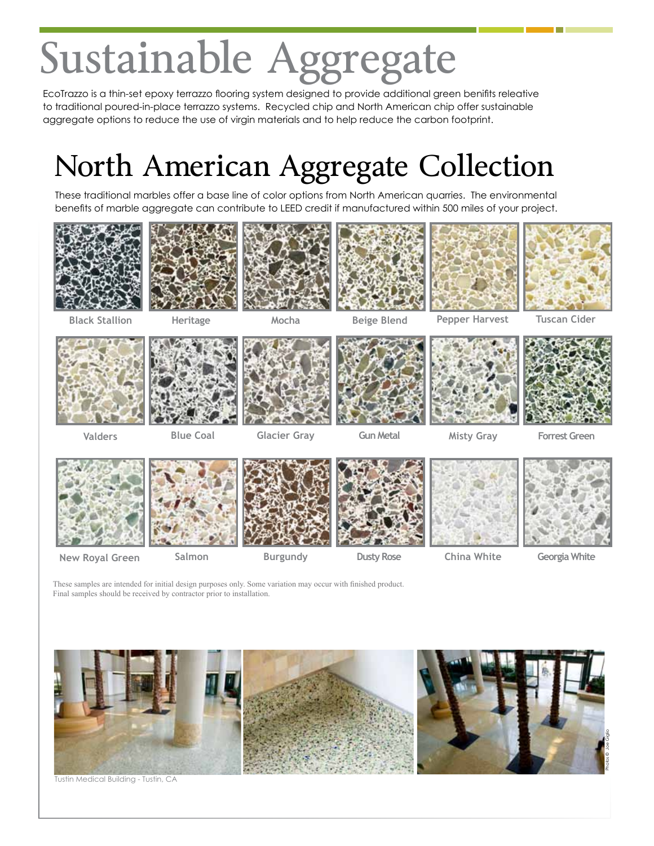# Sustainable Aggregate

EcoTrazzo is a thin-set epoxy terrazzo flooring system designed to provide additional green benifits releative to traditional poured-in-place terrazzo systems. Recycled chip and North American chip offer sustainable aggregate options to reduce the use of virgin materials and to help reduce the carbon footprint.

#### North American Aggregate Collection

These traditional marbles offer a base line of color options from North American quarries. The environmental benefits of marble aggregate can contribute to LEED credit if manufactured within 500 miles of your project.













**Black Stallion Heritage Mocha Beige Blend Pepper Harvest Tuscan Cider**











**Valders Blue Coal Glacier Gray Gun Metal Misty Gray Forrest Green**



**New Royal Green Salmon Burgundy Dusty Rose China White Georgia White**

These samples are intended for initial design purposes only. Some variation may occur with finished product. Final samples should be received by contractor prior to installation.



Tustin Medical Building - Tustin, CA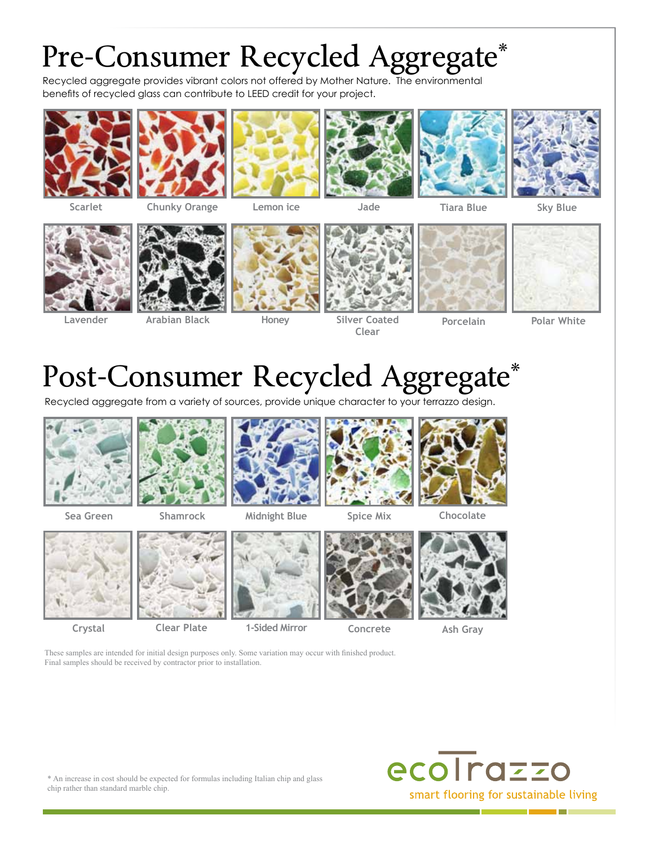#### Pre-Consumer Recycled Aggregate\*

Recycled aggregate provides vibrant colors not offered by Mother Nature. The environmental benefits of recycled glass can contribute to LEED credit for your project.







**Chunky Orange Lemon ice** 







**Tiara Blue Sky Blue** 



**Lavender**



**Arabian Black**



**Honey**



**Jade**

**Silver Coated Clear**



**Porcelain**



**Polar White**

#### Post-Consumer Recycled Aggregate\*

Recycled aggregate from a variety of sources, provide unique character to your terrazzo design.



**Sea Green**









**Crystal**





**Clear Plate Ash Gray 1-Sided Mirror**

**Concrete**





These samples are intended for initial design purposes only. Some variation may occur with finished product. Final samples should be received by contractor prior to installation.



\* An increase in cost should be expected for formulas including Italian chip and glass chip rather than standard marble chip.